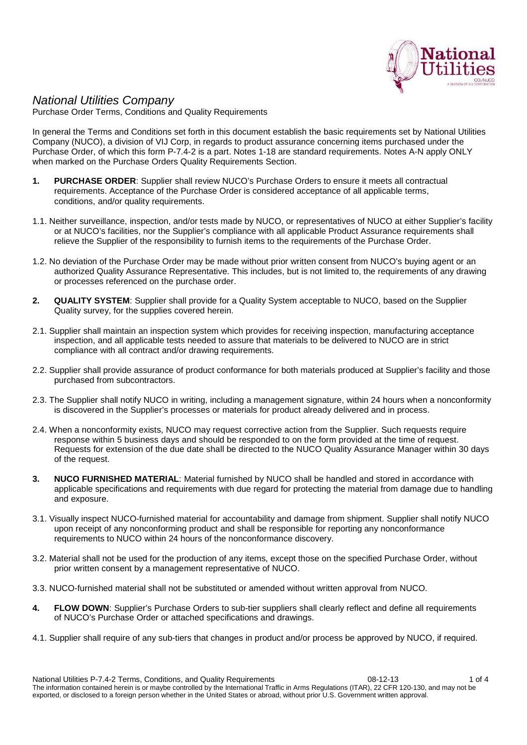

## *National Utilities Company*

Purchase Order Terms, Conditions and Quality Requirements

In general the Terms and Conditions set forth in this document establish the basic requirements set by National Utilities Company (NUCO), a division of VIJ Corp, in regards to product assurance concerning items purchased under the Purchase Order, of which this form P-7.4-2 is a part. Notes 1-18 are standard requirements. Notes A-N apply ONLY when marked on the Purchase Orders Quality Requirements Section.

- **1. PURCHASE ORDER**: Supplier shall review NUCO's Purchase Orders to ensure it meets all contractual requirements. Acceptance of the Purchase Order is considered acceptance of all applicable terms, conditions, and/or quality requirements.
- 1.1. Neither surveillance, inspection, and/or tests made by NUCO, or representatives of NUCO at either Supplier's facility or at NUCO's facilities, nor the Supplier's compliance with all applicable Product Assurance requirements shall relieve the Supplier of the responsibility to furnish items to the requirements of the Purchase Order.
- 1.2. No deviation of the Purchase Order may be made without prior written consent from NUCO's buying agent or an authorized Quality Assurance Representative. This includes, but is not limited to, the requirements of any drawing or processes referenced on the purchase order.
- **2. QUALITY SYSTEM**: Supplier shall provide for a Quality System acceptable to NUCO, based on the Supplier Quality survey, for the supplies covered herein.
- 2.1. Supplier shall maintain an inspection system which provides for receiving inspection, manufacturing acceptance inspection, and all applicable tests needed to assure that materials to be delivered to NUCO are in strict compliance with all contract and/or drawing requirements.
- 2.2. Supplier shall provide assurance of product conformance for both materials produced at Supplier's facility and those purchased from subcontractors.
- 2.3. The Supplier shall notify NUCO in writing, including a management signature, within 24 hours when a nonconformity is discovered in the Supplier's processes or materials for product already delivered and in process.
- 2.4. When a nonconformity exists, NUCO may request corrective action from the Supplier. Such requests require response within 5 business days and should be responded to on the form provided at the time of request. Requests for extension of the due date shall be directed to the NUCO Quality Assurance Manager within 30 days of the request.
- **3. NUCO FURNISHED MATERIAL**: Material furnished by NUCO shall be handled and stored in accordance with applicable specifications and requirements with due regard for protecting the material from damage due to handling and exposure.
- 3.1. Visually inspect NUCO-furnished material for accountability and damage from shipment. Supplier shall notify NUCO upon receipt of any nonconforming product and shall be responsible for reporting any nonconformance requirements to NUCO within 24 hours of the nonconformance discovery.
- 3.2. Material shall not be used for the production of any items, except those on the specified Purchase Order, without prior written consent by a management representative of NUCO.
- 3.3. NUCO-furnished material shall not be substituted or amended without written approval from NUCO.
- **4. FLOW DOWN**: Supplier's Purchase Orders to sub-tier suppliers shall clearly reflect and define all requirements of NUCO's Purchase Order or attached specifications and drawings.
- 4.1. Supplier shall require of any sub-tiers that changes in product and/or process be approved by NUCO, if required.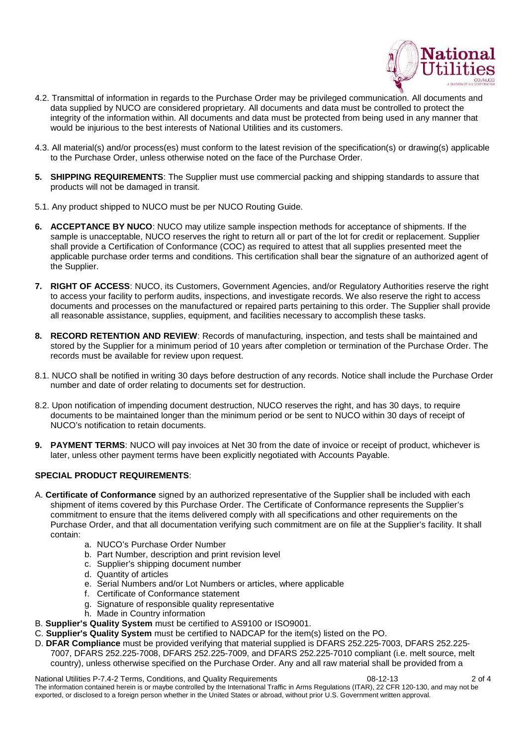

- 4.2. Transmittal of information in regards to the Purchase Order may be privileged communication. All documents and data supplied by NUCO are considered proprietary. All documents and data must be controlled to protect the integrity of the information within. All documents and data must be protected from being used in any manner that would be injurious to the best interests of National Utilities and its customers.
- 4.3. All material(s) and/or process(es) must conform to the latest revision of the specification(s) or drawing(s) applicable to the Purchase Order, unless otherwise noted on the face of the Purchase Order.
- **5. SHIPPING REQUIREMENTS**: The Supplier must use commercial packing and shipping standards to assure that products will not be damaged in transit.
- 5.1. Any product shipped to NUCO must be per NUCO Routing Guide.
- **6. ACCEPTANCE BY NUCO**: NUCO may utilize sample inspection methods for acceptance of shipments. If the sample is unacceptable, NUCO reserves the right to return all or part of the lot for credit or replacement. Supplier shall provide a Certification of Conformance (COC) as required to attest that all supplies presented meet the applicable purchase order terms and conditions. This certification shall bear the signature of an authorized agent of the Supplier.
- **7. RIGHT OF ACCESS**: NUCO, its Customers, Government Agencies, and/or Regulatory Authorities reserve the right to access your facility to perform audits, inspections, and investigate records. We also reserve the right to access documents and processes on the manufactured or repaired parts pertaining to this order. The Supplier shall provide all reasonable assistance, supplies, equipment, and facilities necessary to accomplish these tasks.
- **8. RECORD RETENTION AND REVIEW**: Records of manufacturing, inspection, and tests shall be maintained and stored by the Supplier for a minimum period of 10 years after completion or termination of the Purchase Order. The records must be available for review upon request.
- 8.1. NUCO shall be notified in writing 30 days before destruction of any records. Notice shall include the Purchase Order number and date of order relating to documents set for destruction.
- 8.2. Upon notification of impending document destruction, NUCO reserves the right, and has 30 days, to require documents to be maintained longer than the minimum period or be sent to NUCO within 30 days of receipt of NUCO's notification to retain documents.
- **9. PAYMENT TERMS**: NUCO will pay invoices at Net 30 from the date of invoice or receipt of product, whichever is later, unless other payment terms have been explicitly negotiated with Accounts Payable.

## **SPECIAL PRODUCT REQUIREMENTS**:

- A. **Certificate of Conformance** signed by an authorized representative of the Supplier shall be included with each shipment of items covered by this Purchase Order. The Certificate of Conformance represents the Supplier's commitment to ensure that the items delivered comply with all specifications and other requirements on the Purchase Order, and that all documentation verifying such commitment are on file at the Supplier's facility. It shall contain:
	- a. NUCO's Purchase Order Number
	- b. Part Number, description and print revision level
	- c. Supplier's shipping document number
	- d. Quantity of articles
	- e. Serial Numbers and/or Lot Numbers or articles, where applicable
	- f. Certificate of Conformance statement
	- g. Signature of responsible quality representative
	- h. Made in Country information
- B. **Supplier's Quality System** must be certified to AS9100 or ISO9001.
- C. **Supplier's Quality System** must be certified to NADCAP for the item(s) listed on the PO.
- D. **DFAR Compliance** must be provided verifying that material supplied is DFARS 252.225-7003, DFARS 252.225- 7007, DFARS 252.225-7008, DFARS 252.225-7009, and DFARS 252.225-7010 compliant (i.e. melt source, melt country), unless otherwise specified on the Purchase Order. Any and all raw material shall be provided from a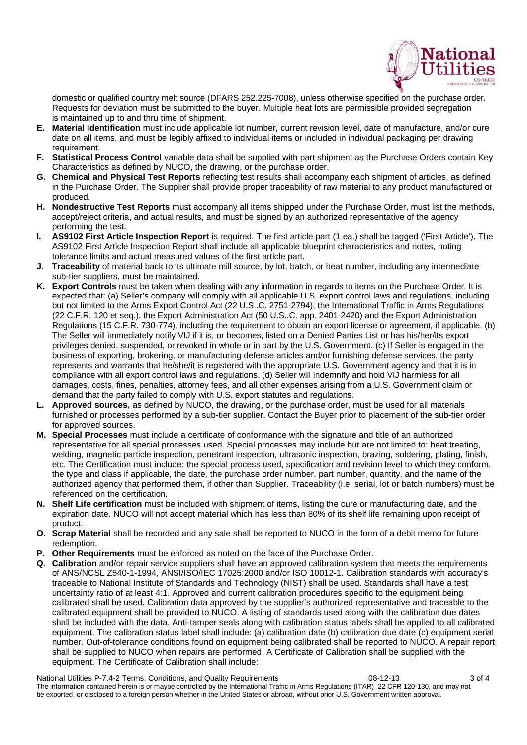

domestic or qualified country melt source (DFARS 252.225-7008), unless otherwise specified on the purchase order. Requests for deviation must be submitted to the buyer. Multiple heat lots are permissible provided segregation is maintained up to and thru time of shipment.

- **E. Material Identification** must include applicable lot number, current revision level, date of manufacture, and/or cure date on all items, and must be legibly affixed to individual items or included in individual packaging per drawing requirement.
- **F. Statistical Process Control** variable data shall be supplied with part shipment as the Purchase Orders contain Key Characteristics as defined by NUCO, the drawing, or the purchase order.
- **G. Chemical and Physical Test Reports** reflecting test results shall accompany each shipment of articles, as defined in the Purchase Order. The Supplier shall provide proper traceability of raw material to any product manufactured or produced.
- **H. Nondestructive Test Reports** must accompany all items shipped under the Purchase Order, must list the methods, accept/reject criteria, and actual results, and must be signed by an authorized representative of the agency performing the test.
- **I. AS9102 First Article Inspection Report** is required. The first article part (1 ea.) shall be tagged ('First Article'). The AS9102 First Article Inspection Report shall include all applicable blueprint characteristics and notes, noting tolerance limits and actual measured values of the first article part.
- **J. Traceability** of material back to its ultimate mill source, by lot, batch, or heat number, including any intermediate sub-tier suppliers, must be maintained.
- **K. Export Controls** must be taken when dealing with any information in regards to items on the Purchase Order. It is expected that: (a) Seller's company will comply with all applicable U.S. export control laws and regulations, including but not limited to the Arms Export Control Act (22 U.S..C. 2751-2794), the International Traffic in Arms Regulations (22 C.F.R. 120 et seq.), the Export Administration Act (50 U.S..C. app. 2401-2420) and the Export Administration Regulations (15 C.F.R. 730-774), including the requirement to obtain an export license or agreement, if applicable. (b) The Seller will immediately notify VIJ if it is, or becomes, listed on a Denied Parties List or has his/her/its export privileges denied, suspended, or revoked in whole or in part by the U.S. Government. (c) If Seller is engaged in the business of exporting, brokering, or manufacturing defense articles and/or furnishing defense services, the party represents and warrants that he/she/it is registered with the appropriate U.S. Government agency and that it is in compliance with all export control laws and regulations. (d) Seller will indemnify and hold VIJ harmless for all damages, costs, fines, penalties, attorney fees, and all other expenses arising from a U.S. Government claim or demand that the party failed to comply with U.S. export statutes and regulations.
- **L. Approved sources,** as defined by NUCO, the drawing, or the purchase order, must be used for all materials furnished or processes performed by a sub-tier supplier. Contact the Buyer prior to placement of the sub-tier order for approved sources.
- **M. Special Processes** must include a certificate of conformance with the signature and title of an authorized representative for all special processes used. Special processes may include but are not limited to: heat treating, welding, magnetic particle inspection, penetrant inspection, ultrasonic inspection, brazing, soldering, plating, finish, etc. The Certification must include: the special process used, specification and revision level to which they conform, the type and class if applicable, the date, the purchase order number, part number, quantity, and the name of the authorized agency that performed them, if other than Supplier. Traceability (i.e. serial, lot or batch numbers) must be referenced on the certification.
- **N. Shelf Life certification** must be included with shipment of items, listing the cure or manufacturing date, and the expiration date. NUCO will not accept material which has less than 80% of its shelf life remaining upon receipt of product.
- **O. Scrap Material** shall be recorded and any sale shall be reported to NUCO in the form of a debit memo for future redemption.
- **P. Other Requirements** must be enforced as noted on the face of the Purchase Order.
- **Q. Calibration** and/or repair service suppliers shall have an approved calibration system that meets the requirements of ANS/NCSL Z540-1-1994, ANSI/ISO/IEC 17025:2000 and/or ISO 10012-1. Calibration standards with accuracy's traceable to National Institute of Standards and Technology (NIST) shall be used. Standards shall have a test uncertainty ratio of at least 4:1. Approved and current calibration procedures specific to the equipment being calibrated shall be used. Calibration data approved by the supplier's authorized representative and traceable to the calibrated equipment shall be provided to NUCO. A listing of standards used along with the calibration due dates shall be included with the data. Anti-tamper seals along with calibration status labels shall be applied to all calibrated equipment. The calibration status label shall include: (a) calibration date (b) calibration due date (c) equipment serial number. Out-of-tolerance conditions found on equipment being calibrated shall be reported to NUCO. A repair report shall be supplied to NUCO when repairs are performed. A Certificate of Calibration shall be supplied with the equipment. The Certificate of Calibration shall include:

National Utilities P-7.4-2 Terms, Conditions, and Quality Requirements 08-12-13 08-12-13 3 of 4 The information contained herein is or maybe controlled by the International Traffic in Arms Regulations (ITAR), 22 CFR 120-130, and may not be exported, or disclosed to a foreign person whether in the United States or abroad, without prior U.S. Government written approval.